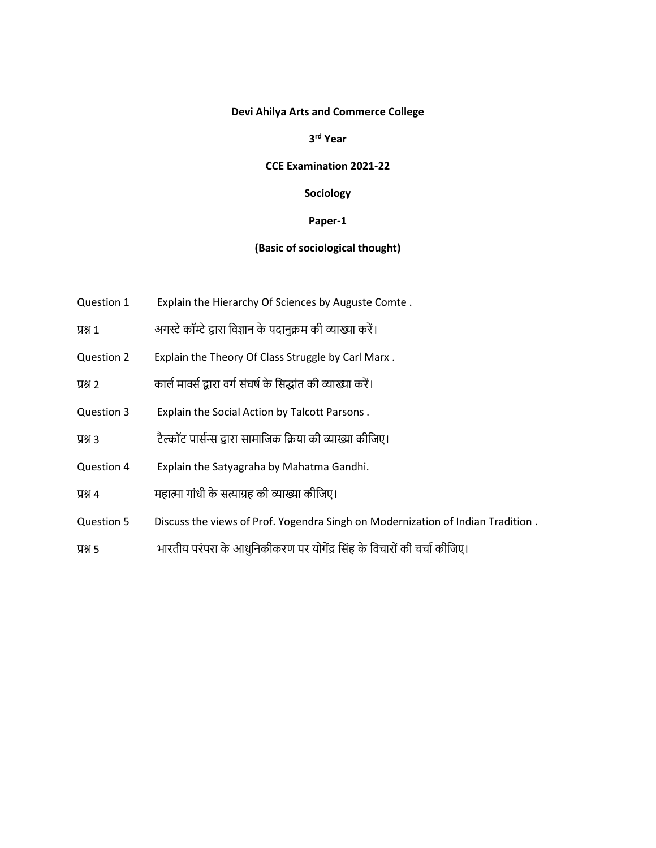## **Devi Ahilya Arts and Commerce College**

# **3 rd Year**

#### **CCE Examination 2021-22**

# **Sociology**

## **Paper-1**

# **(Basic of sociological thought)**

- Question 1 Explain the Hierarchy Of Sciences by Auguste Comte .
- प्रश्न 1 अगस्टे कॉम्टे द्वारा विज्ञान के पदानुक्रम की व्याख्या करें।
- Question 2 Explain the Theory Of Class Struggle by Carl Marx .
- प्रश्न 2 कार्ल मार्क्स द्वारा वर्ग संघर्ष के सिद्धांत की व्याख्या करें।
- Question 3 Explain the Social Action by Talcott Parsons .
- प्रश्न 3 टैल्कॉट पासलन्स द्वारा सामाविक वक्रया की व्याख्या कीविए।
- Question 4 Explain the Satyagraha by Mahatma Gandhi.
- प्रश्न 4 महात्मा गांधी के सत्याग्रह की व्याख्या कीविए।
- Question 5 Discuss the views of Prof. Yogendra Singh on Modernization of Indian Tradition .
- प्रश्न 5 भारतीय परंपरा के आधुनिकीकरण पर योगेंद्र सिंह के विचारों की चर्चा कीजिए।